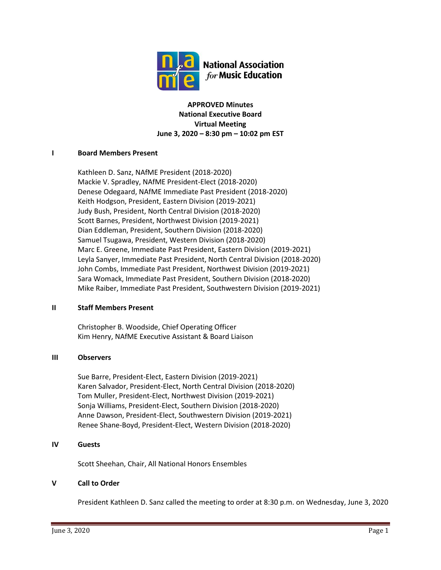

**APPROVED Minutes National Executive Board Virtual Meeting June 3, 2020 – 8:30 pm – 10:02 pm EST**

### **I Board Members Present**

Kathleen D. Sanz, NAfME President (2018-2020) Mackie V. Spradley, NAfME President-Elect (2018-2020) Denese Odegaard, NAfME Immediate Past President (2018-2020) Keith Hodgson, President, Eastern Division (2019-2021) Judy Bush, President, North Central Division (2018-2020) Scott Barnes, President, Northwest Division (2019-2021) Dian Eddleman, President, Southern Division (2018-2020) Samuel Tsugawa, President, Western Division (2018-2020) Marc E. Greene, Immediate Past President, Eastern Division (2019-2021) Leyla Sanyer, Immediate Past President, North Central Division (2018-2020) John Combs, Immediate Past President, Northwest Division (2019-2021) Sara Womack, Immediate Past President, Southern Division (2018-2020) Mike Raiber, Immediate Past President, Southwestern Division (2019-2021)

### **II Staff Members Present**

Christopher B. Woodside, Chief Operating Officer Kim Henry, NAfME Executive Assistant & Board Liaison

### **III Observers**

Sue Barre, President-Elect, Eastern Division (2019-2021) Karen Salvador, President-Elect, North Central Division (2018-2020) Tom Muller, President-Elect, Northwest Division (2019-2021) Sonja Williams, President-Elect, Southern Division (2018-2020) Anne Dawson, President-Elect, Southwestern Division (2019-2021) Renee Shane-Boyd, President-Elect, Western Division (2018-2020)

### **IV Guests**

Scott Sheehan, Chair, All National Honors Ensembles

# **V Call to Order**

President Kathleen D. Sanz called the meeting to order at 8:30 p.m. on Wednesday, June 3, 2020